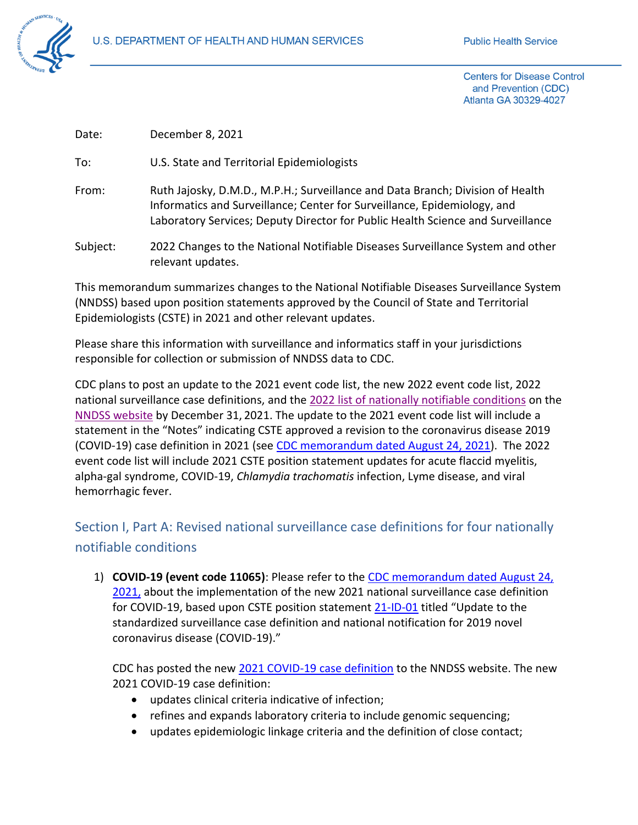

**Centers for Disease Control** and Prevention (CDC) **Atlanta GA 30329-4027** 

Date: December 8, 2021

To: U.S. State and Territorial Epidemiologists

- From: Ruth Jajosky, D.M.D., M.P.H.; Surveillance and Data Branch; Division of Health Informatics and Surveillance; Center for Surveillance, Epidemiology, and Laboratory Services; Deputy Director for Public Health Science and Surveillance
- Subject: 2022 Changes to the National Notifiable Diseases Surveillance System and other relevant updates.

This memorandum summarizes changes to the National Notifiable Diseases Surveillance System (NNDSS) based upon position statements approved by the Council of State and Territorial Epidemiologists (CSTE) in 2021 and other relevant updates.

Please share this information with surveillance and informatics staff in your jurisdictions responsible for collection or submission of NNDSS data to CDC.

CDC plans to post an update to the 2021 event code list, the new 2022 event code list, 2022 national surveillance case definitions, and the 2022 [list of nationally notifiable conditions](https://ndc.services.cdc.gov/) on the [NNDSS website](https://www.cdc.gov/nndss/index.html) by December 31, 2021. The update to the 2021 event code list will include a statement in the "Notes" indicating CSTE approved a revision to the coronavirus disease 2019 (COVID-19) case definition in 2021 (see [CDC memorandum dated August 24, 2021\)](https://ndc.services.cdc.gov/wp-content/uploads/Jajosky_2021_State_Epi_Letter_New_2021_COVID-19_Case_Definition_for_NNDSS_WebSite_Cleared_08242021.pdf). The 2022 event code list will include 2021 CSTE position statement updates for acute flaccid myelitis, alpha-gal syndrome, COVID-19, *Chlamydia trachomatis* infection, Lyme disease, and viral hemorrhagic fever.

Section I, Part A: Revised national surveillance case definitions for four nationally notifiable conditions

1) **COVID-19 (event code 11065)**: Please refer to the [CDC memorandum dated August 24,](https://ndc.services.cdc.gov/wp-content/uploads/Jajosky_2021_State_Epi_Letter_New_2021_COVID-19_Case_Definition_for_NNDSS_WebSite_Cleared_08242021.pdf)  [2021,](https://ndc.services.cdc.gov/wp-content/uploads/Jajosky_2021_State_Epi_Letter_New_2021_COVID-19_Case_Definition_for_NNDSS_WebSite_Cleared_08242021.pdf) about the implementation of the new 2021 national surveillance case definition for COVID-19, based upon CSTE position statement [21-ID-01](https://cdn.ymaws.com/www.cste.org/resource/resmgr/21-ID-01_COVID-19_updated_Au.pdf) titled "Update to the standardized surveillance case definition and national notification for 2019 novel coronavirus disease (COVID-19)."

CDC has posted the new [2021 COVID-19 case definition](https://ndc.services.cdc.gov/case-definitions/coronavirus-disease-2019-2021/) to the NNDSS website. The new 2021 COVID-19 case definition:

- updates clinical criteria indicative of infection;
- refines and expands laboratory criteria to include genomic sequencing;
- updates epidemiologic linkage criteria and the definition of close contact;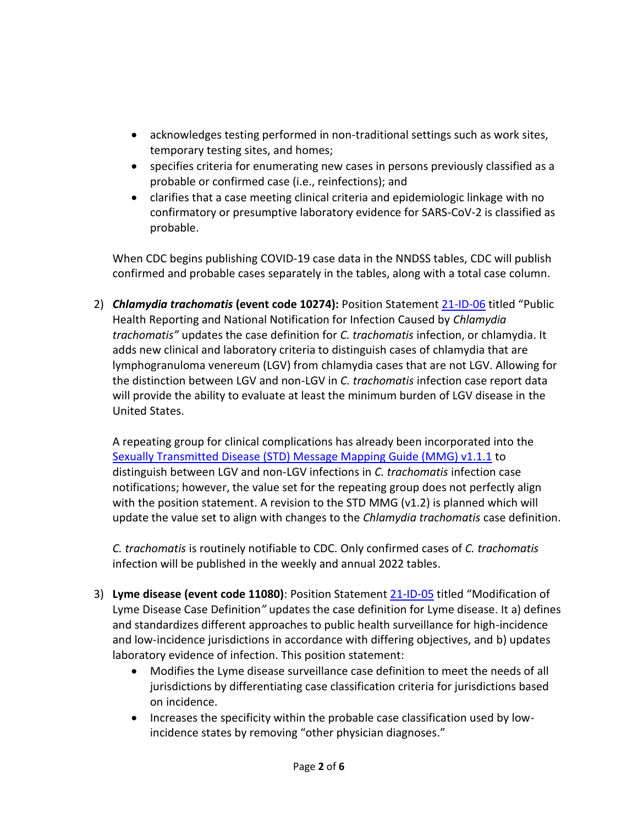- acknowledges testing performed in non-traditional settings such as work sites, temporary testing sites, and homes;
- specifies criteria for enumerating new cases in persons previously classified as a probable or confirmed case (i.e., reinfections); and
- clarifies that a case meeting clinical criteria and epidemiologic linkage with no confirmatory or presumptive laboratory evidence for SARS-CoV-2 is classified as probable.

When CDC begins publishing COVID-19 case data in the NNDSS tables, CDC will publish confirmed and probable cases separately in the tables, along with a total case column.

2) *Chlamydia trachomatis* **(event code 10274):** Position Statement [21-ID-06](https://cdn.ymaws.com/www.cste.org/resource/resmgr/ps/ps2021/21-ID-06_ChlamydiaLGV.pdf) titled "Public Health Reporting and National Notification for Infection Caused by *Chlamydia trachomatis"* updates the case definition for *C. trachomatis* infection, or chlamydia. It adds new clinical and laboratory criteria to distinguish cases of chlamydia that are lymphogranuloma venereum (LGV) from chlamydia cases that are not LGV. Allowing for the distinction between LGV and non-LGV in *C. trachomatis* infection case report data will provide the ability to evaluate at least the minimum burden of LGV disease in the United States.

A repeating group for clinical complications has already been incorporated into the Sexually Transmitted Disease (STD) [Message Mapping Guide \(MMG\) v1.1.1](https://ndc.services.cdc.gov/wp-content/uploads/STD_v1.1.1_MMG_and_TS_20210721.xlsx) to distinguish between LGV and non-LGV infections in *C. trachomatis* infection case notifications; however, the value set for the repeating group does not perfectly align with the position statement. A revision to the STD MMG (v1.2) is planned which will update the value set to align with changes to the *Chlamydia trachomatis* case definition.

*C. trachomatis* is routinely notifiable to CDC. Only confirmed cases of *C. trachomatis* infection will be published in the weekly and annual 2022 tables.

- 3) **Lyme disease (event code 11080)**: Position Statement [21-ID-05](https://cdn.ymaws.com/www.cste.org/resource/resmgr/ps/ps2021/21-ID-05_Lyme_Disease.pdf) titled "Modification of Lyme Disease Case Definition*"* updates the case definition for Lyme disease. It a) defines and standardizes different approaches to public health surveillance for high-incidence and low-incidence jurisdictions in accordance with differing objectives, and b) updates laboratory evidence of infection. This position statement:
	- Modifies the Lyme disease surveillance case definition to meet the needs of all jurisdictions by differentiating case classification criteria for jurisdictions based on incidence.
	- Increases the specificity within the probable case classification used by lowincidence states by removing "other physician diagnoses."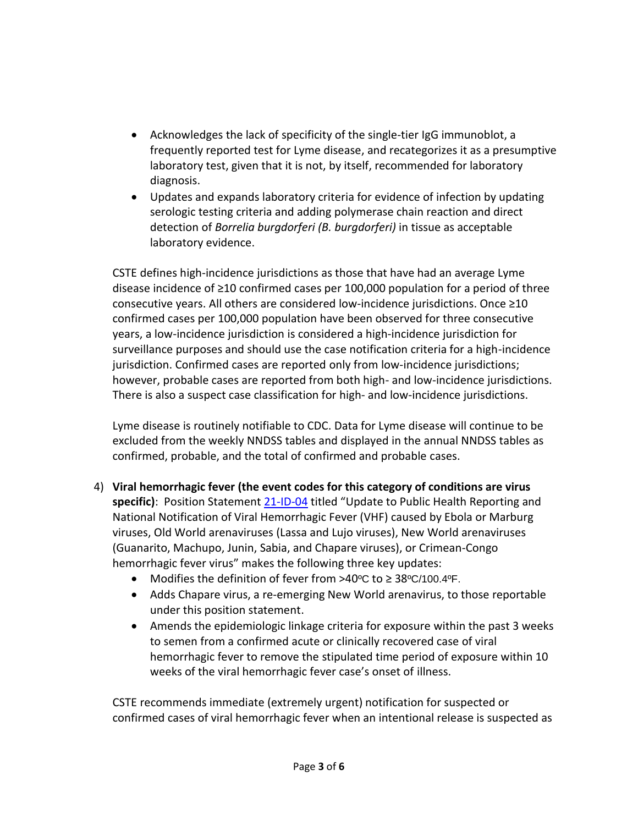- Acknowledges the lack of specificity of the single-tier IgG immunoblot, a frequently reported test for Lyme disease, and recategorizes it as a presumptive laboratory test, given that it is not, by itself, recommended for laboratory diagnosis.
- Updates and expands laboratory criteria for evidence of infection by updating serologic testing criteria and adding polymerase chain reaction and direct detection of *Borrelia burgdorferi (B. burgdorferi)* in tissue as acceptable laboratory evidence.

CSTE defines high-incidence jurisdictions as those that have had an average Lyme disease incidence of ≥10 confirmed cases per 100,000 population for a period of three consecutive years. All others are considered low-incidence jurisdictions. Once ≥10 confirmed cases per 100,000 population have been observed for three consecutive years, a low-incidence jurisdiction is considered a high-incidence jurisdiction for surveillance purposes and should use the case notification criteria for a high-incidence jurisdiction. Confirmed cases are reported only from low-incidence jurisdictions; however, probable cases are reported from both high- and low-incidence jurisdictions. There is also a suspect case classification for high- and low-incidence jurisdictions.

Lyme disease is routinely notifiable to CDC. Data for Lyme disease will continue to be excluded from the weekly NNDSS tables and displayed in the annual NNDSS tables as confirmed, probable, and the total of confirmed and probable cases.

- 4) **Viral hemorrhagic fever (the event codes for this category of conditions are virus specific)**: Position Statement [21-ID-04](https://cdn.ymaws.com/www.cste.org/resource/resmgr/ps/ps2021/21-ID-04_VHF.pdf) titled "Update to Public Health Reporting and National Notification of Viral Hemorrhagic Fever (VHF) caused by Ebola or Marburg viruses, Old World arenaviruses (Lassa and Lujo viruses), New World arenaviruses (Guanarito, Machupo, Junin, Sabia, and Chapare viruses), or Crimean-Congo hemorrhagic fever virus" makes the following three key updates:
	- Modifies the definition of fever from >40ºC to ≥ 38ºC/100.4ºF.
	- Adds Chapare virus, a re-emerging New World arenavirus, to those reportable under this position statement.
	- Amends the epidemiologic linkage criteria for exposure within the past 3 weeks to semen from a confirmed acute or clinically recovered case of viral hemorrhagic fever to remove the stipulated time period of exposure within 10 weeks of the viral hemorrhagic fever case's onset of illness.

CSTE recommends immediate (extremely urgent) notification for suspected or confirmed cases of viral hemorrhagic fever when an intentional release is suspected as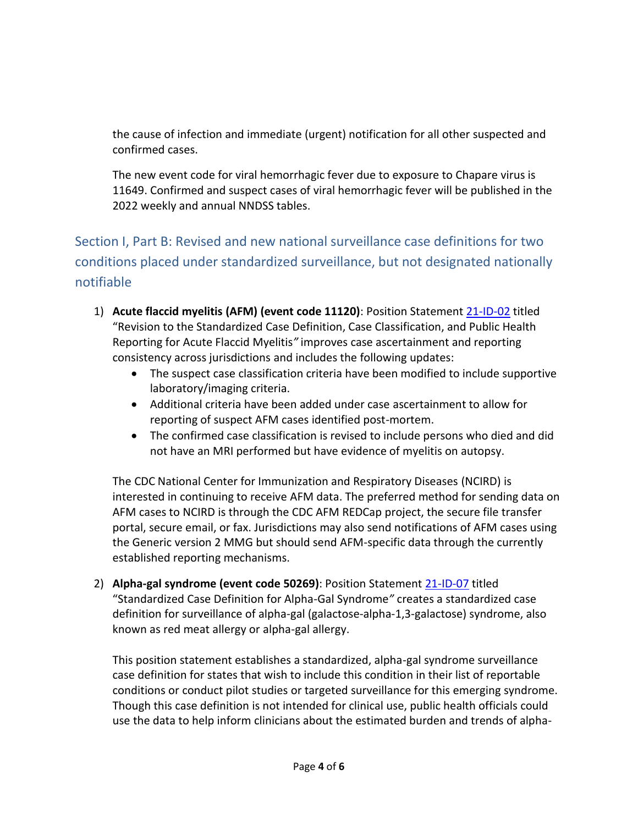the cause of infection and immediate (urgent) notification for all other suspected and confirmed cases.

The new event code for viral hemorrhagic fever due to exposure to Chapare virus is 11649. Confirmed and suspect cases of viral hemorrhagic fever will be published in the 2022 weekly and annual NNDSS tables.

Section I, Part B: Revised and new national surveillance case definitions for two conditions placed under standardized surveillance, but not designated nationally notifiable

- 1) **Acute flaccid myelitis (AFM) (event code 11120)**: Position Statement [21-ID-02](https://cdn.ymaws.com/www.cste.org/resource/resmgr/ps/ps2021/21-ID-02_AFM.pdf) titled "Revision to the Standardized Case Definition, Case Classification, and Public Health Reporting for Acute Flaccid Myelitis*"* improves case ascertainment and reporting consistency across jurisdictions and includes the following updates:
	- The suspect case classification criteria have been modified to include supportive laboratory/imaging criteria.
	- Additional criteria have been added under case ascertainment to allow for reporting of suspect AFM cases identified post-mortem.
	- The confirmed case classification is revised to include persons who died and did not have an MRI performed but have evidence of myelitis on autopsy.

The CDC National Center for Immunization and Respiratory Diseases (NCIRD) is interested in continuing to receive AFM data. The preferred method for sending data on AFM cases to NCIRD is through the CDC AFM REDCap project, the secure file transfer portal, secure email, or fax. Jurisdictions may also send notifications of AFM cases using the Generic version 2 MMG but should send AFM-specific data through the currently established reporting mechanisms.

2) **Alpha-gal syndrome (event code 50269)**: Position Statement [21-ID-07](https://cdn.ymaws.com/www.cste.org/resource/resmgr/ps/ps2021/21-ID-07_Alpha_Gal_Syndrome.pdf) titled "Standardized Case Definition for Alpha-Gal Syndrome*"* creates a standardized case definition for surveillance of alpha-gal (galactose-alpha-1,3-galactose) syndrome, also known as red meat allergy or alpha-gal allergy.

This position statement establishes a standardized, alpha-gal syndrome surveillance case definition for states that wish to include this condition in their list of reportable conditions or conduct pilot studies or targeted surveillance for this emerging syndrome. Though this case definition is not intended for clinical use, public health officials could use the data to help inform clinicians about the estimated burden and trends of alpha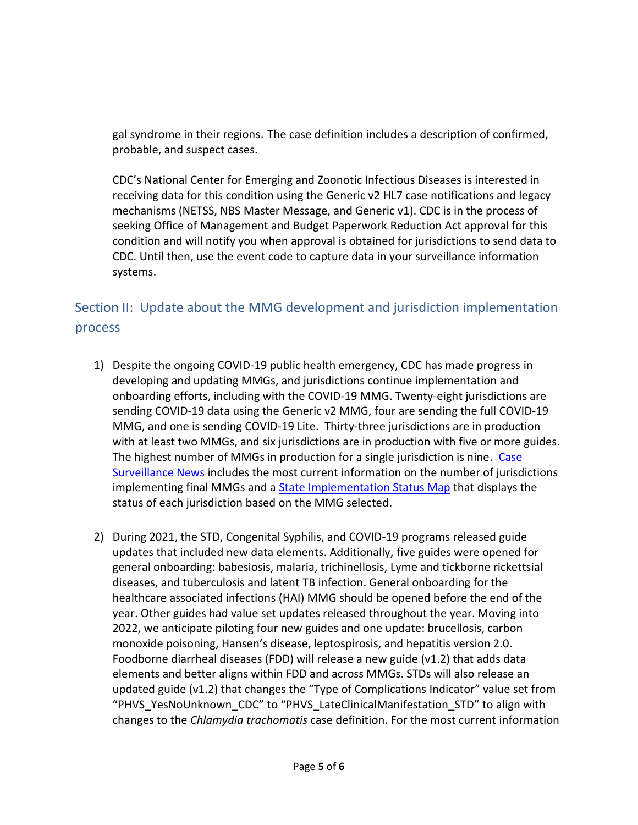gal syndrome in their regions. The case definition includes a description of confirmed, probable, and suspect cases.

CDC's National Center for Emerging and Zoonotic Infectious Diseases is interested in receiving data for this condition using the Generic v2 HL7 case notifications and legacy mechanisms (NETSS, NBS Master Message, and Generic v1). CDC is in the process of seeking Office of Management and Budget Paperwork Reduction Act approval for this condition and will notify you when approval is obtained for jurisdictions to send data to CDC. Until then, use the event code to capture data in your surveillance information systems.

## Section II: Update about the MMG development and jurisdiction implementation process

- 1) Despite the ongoing COVID-19 public health emergency, CDC has made progress in developing and updating MMGs, and jurisdictions continue implementation and onboarding efforts, including with the COVID-19 MMG. Twenty-eight jurisdictions are sending COVID-19 data using the Generic v2 MMG, four are sending the full COVID-19 MMG, and one is sending COVID-19 Lite. Thirty-three jurisdictions are in production with at least two MMGs, and six jurisdictions are in production with five or more guides. The highest number of MMGs in production for a single jurisdiction is nine. Case [Surveillance News](https://www.cdc.gov/nndss/trc/news/index.html) includes the most current information on the number of jurisdictions implementing final MMGs and a [State Implementation Status Map](https://www.cdc.gov/nndss/trc/news/jurisdiction-implementation.html) that displays the status of each jurisdiction based on the MMG selected.
- 2) During 2021, the STD, Congenital Syphilis, and COVID-19 programs released guide updates that included new data elements. Additionally, five guides were opened for general onboarding: babesiosis, malaria, trichinellosis, Lyme and tickborne rickettsial diseases, and tuberculosis and latent TB infection. General onboarding for the healthcare associated infections (HAI) MMG should be opened before the end of the year. Other guides had value set updates released throughout the year. Moving into 2022, we anticipate piloting four new guides and one update: brucellosis, carbon monoxide poisoning, Hansen's disease, leptospirosis, and hepatitis version 2.0. Foodborne diarrheal diseases (FDD) will release a new guide (v1.2) that adds data elements and better aligns within FDD and across MMGs. STDs will also release an updated guide (v1.2) that changes the "Type of Complications Indicator" value set from "PHVS\_YesNoUnknown\_CDC" to "PHVS\_LateClinicalManifestation\_STD" to align with changes to the *Chlamydia trachomatis* case definition. For the most current information